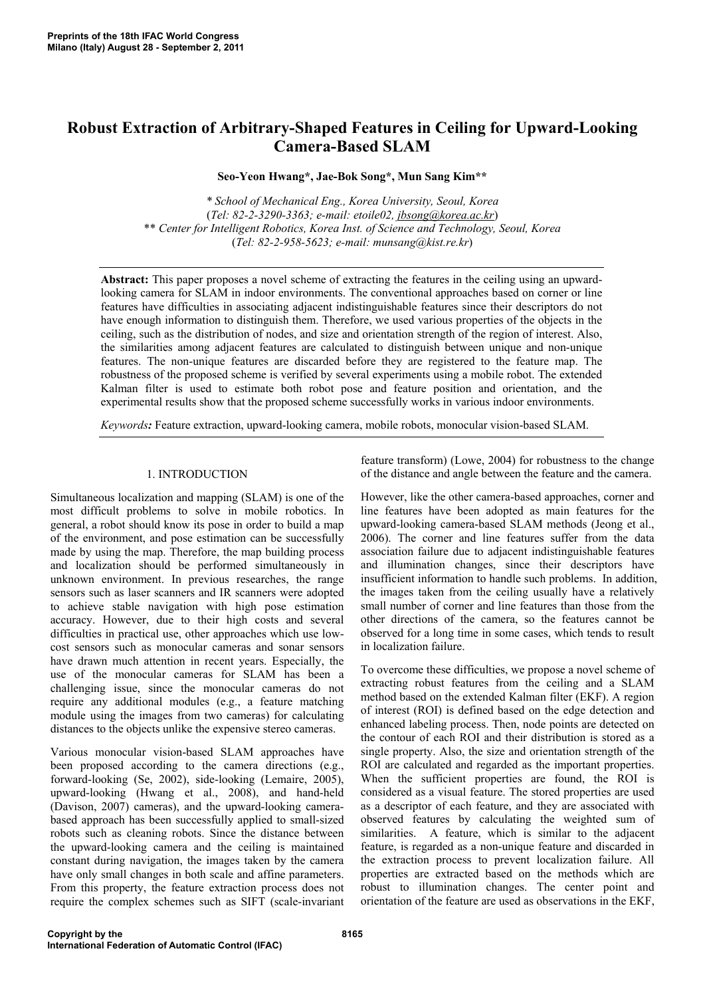# **Robust Extraction of Arbitrary-Shaped Features in Ceiling for Upward-Looking Camera-Based SLAM**

**Seo-Yeon Hwang\*, Jae-Bok Song\*, Mun Sang Kim\*\*** 

*\* School of Mechanical Eng., Korea University, Seoul, Korea*  (*Tel: 82-2-3290-3363; e-mail: etoile02, jbsong@korea.ac.kr*) \*\* *Center for Intelligent Robotics, Korea Inst. of Science and Technology, Seoul, Korea* (*Tel: 82-2-958-5623; e-mail: munsang@kist.re.kr*)

**Abstract:** This paper proposes a novel scheme of extracting the features in the ceiling using an upwardlooking camera for SLAM in indoor environments. The conventional approaches based on corner or line features have difficulties in associating adjacent indistinguishable features since their descriptors do not have enough information to distinguish them. Therefore, we used various properties of the objects in the ceiling, such as the distribution of nodes, and size and orientation strength of the region of interest. Also, the similarities among adjacent features are calculated to distinguish between unique and non-unique features. The non-unique features are discarded before they are registered to the feature map. The robustness of the proposed scheme is verified by several experiments using a mobile robot. The extended Kalman filter is used to estimate both robot pose and feature position and orientation, and the experimental results show that the proposed scheme successfully works in various indoor environments.

*Keywords:* Feature extraction, upward-looking camera, mobile robots, monocular vision-based SLAM.

# 1. INTRODUCTION

Simultaneous localization and mapping (SLAM) is one of the most difficult problems to solve in mobile robotics. In general, a robot should know its pose in order to build a map of the environment, and pose estimation can be successfully made by using the map. Therefore, the map building process and localization should be performed simultaneously in unknown environment. In previous researches, the range sensors such as laser scanners and IR scanners were adopted to achieve stable navigation with high pose estimation accuracy. However, due to their high costs and several difficulties in practical use, other approaches which use lowcost sensors such as monocular cameras and sonar sensors have drawn much attention in recent years. Especially, the use of the monocular cameras for SLAM has been a challenging issue, since the monocular cameras do not require any additional modules (e.g., a feature matching module using the images from two cameras) for calculating distances to the objects unlike the expensive stereo cameras.

Various monocular vision-based SLAM approaches have been proposed according to the camera directions (e.g., forward-looking (Se, 2002), side-looking (Lemaire, 2005), upward-looking (Hwang et al., 2008), and hand-held (Davison, 2007) cameras), and the upward-looking camerabased approach has been successfully applied to small-sized robots such as cleaning robots. Since the distance between the upward-looking camera and the ceiling is maintained constant during navigation, the images taken by the camera have only small changes in both scale and affine parameters. From this property, the feature extraction process does not require the complex schemes such as SIFT (scale-invariant

feature transform) (Lowe, 2004) for robustness to the change of the distance and angle between the feature and the camera.

However, like the other camera-based approaches, corner and line features have been adopted as main features for the upward-looking camera-based SLAM methods (Jeong et al., 2006). The corner and line features suffer from the data association failure due to adjacent indistinguishable features and illumination changes, since their descriptors have insufficient information to handle such problems. In addition, the images taken from the ceiling usually have a relatively small number of corner and line features than those from the other directions of the camera, so the features cannot be observed for a long time in some cases, which tends to result in localization failure.

To overcome these difficulties, we propose a novel scheme of extracting robust features from the ceiling and a SLAM method based on the extended Kalman filter (EKF). A region of interest (ROI) is defined based on the edge detection and enhanced labeling process. Then, node points are detected on the contour of each ROI and their distribution is stored as a single property. Also, the size and orientation strength of the ROI are calculated and regarded as the important properties. When the sufficient properties are found, the ROI is considered as a visual feature. The stored properties are used as a descriptor of each feature, and they are associated with observed features by calculating the weighted sum of similarities. A feature, which is similar to the adjacent feature, is regarded as a non-unique feature and discarded in the extraction process to prevent localization failure. All properties are extracted based on the methods which are robust to illumination changes. The center point and orientation of the feature are used as observations in the EKF,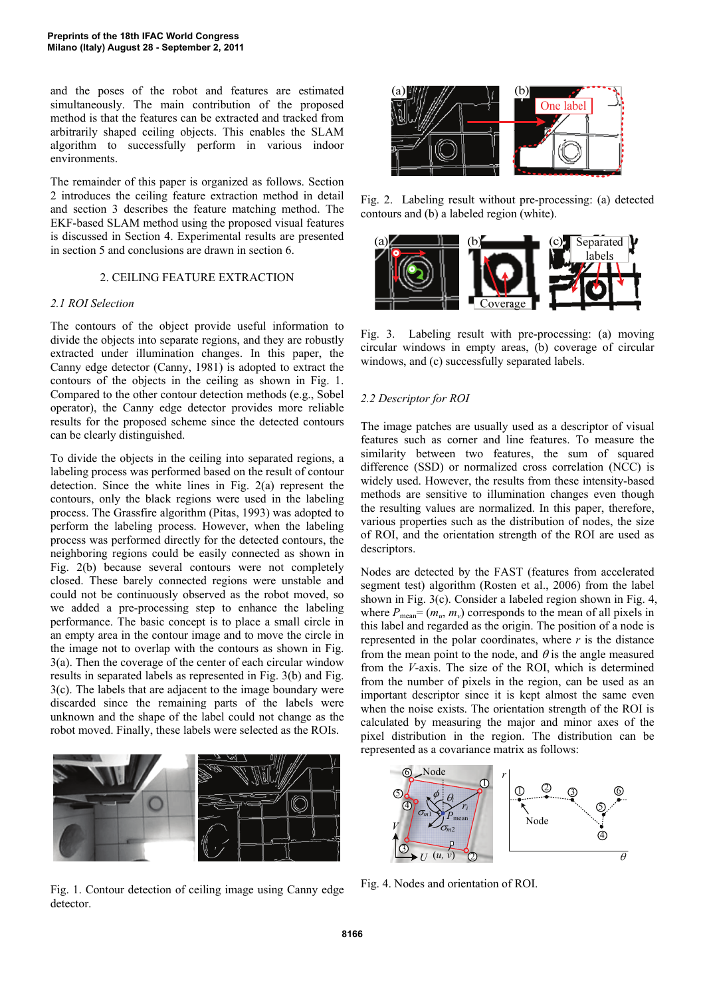and the poses of the robot and features are estimated simultaneously. The main contribution of the proposed method is that the features can be extracted and tracked from arbitrarily shaped ceiling objects. This enables the SLAM algorithm to successfully perform in various indoor environments.

The remainder of this paper is organized as follows. Section 2 introduces the ceiling feature extraction method in detail and section 3 describes the feature matching method. The EKF-based SLAM method using the proposed visual features is discussed in Section 4. Experimental results are presented in section 5 and conclusions are drawn in section 6.

# 2. CEILING FEATURE EXTRACTION

# *2.1 ROI Selection*

The contours of the object provide useful information to divide the objects into separate regions, and they are robustly extracted under illumination changes. In this paper, the Canny edge detector (Canny, 1981) is adopted to extract the contours of the objects in the ceiling as shown in Fig. 1. Compared to the other contour detection methods (e.g., Sobel operator), the Canny edge detector provides more reliable results for the proposed scheme since the detected contours can be clearly distinguished.

To divide the objects in the ceiling into separated regions, a labeling process was performed based on the result of contour detection. Since the white lines in Fig. 2(a) represent the contours, only the black regions were used in the labeling process. The Grassfire algorithm (Pitas, 1993) was adopted to perform the labeling process. However, when the labeling process was performed directly for the detected contours, the neighboring regions could be easily connected as shown in Fig. 2(b) because several contours were not completely closed. These barely connected regions were unstable and could not be continuously observed as the robot moved, so we added a pre-processing step to enhance the labeling performance. The basic concept is to place a small circle in an empty area in the contour image and to move the circle in the image not to overlap with the contours as shown in Fig. 3(a). Then the coverage of the center of each circular window results in separated labels as represented in Fig. 3(b) and Fig. 3(c). The labels that are adjacent to the image boundary were discarded since the remaining parts of the labels were unknown and the shape of the label could not change as the robot moved. Finally, these labels were selected as the ROIs.



Fig. 1. Contour detection of ceiling image using Canny edge detector.



Fig. 2. Labeling result without pre-processing: (a) detected contours and (b) a labeled region (white).



Fig. 3. Labeling result with pre-processing: (a) moving circular windows in empty areas, (b) coverage of circular windows, and (c) successfully separated labels.

### *2.2 Descriptor for ROI*

The image patches are usually used as a descriptor of visual features such as corner and line features. To measure the similarity between two features, the sum of squared difference (SSD) or normalized cross correlation (NCC) is widely used. However, the results from these intensity-based methods are sensitive to illumination changes even though the resulting values are normalized. In this paper, therefore, various properties such as the distribution of nodes, the size of ROI, and the orientation strength of the ROI are used as descriptors.

Nodes are detected by the FAST (features from accelerated segment test) algorithm (Rosten et al., 2006) from the label shown in Fig. 3(c). Consider a labeled region shown in Fig. 4, where  $P_{\text{mean}} = (m_u, m_v)$  corresponds to the mean of all pixels in this label and regarded as the origin. The position of a node is represented in the polar coordinates, where *r* is the distance from the mean point to the node, and  $\theta$  is the angle measured from the *V*-axis. The size of the ROI, which is determined from the number of pixels in the region, can be used as an important descriptor since it is kept almost the same even when the noise exists. The orientation strength of the ROI is calculated by measuring the major and minor axes of the pixel distribution in the region. The distribution can be represented as a covariance matrix as follows:



Fig. 4. Nodes and orientation of ROI.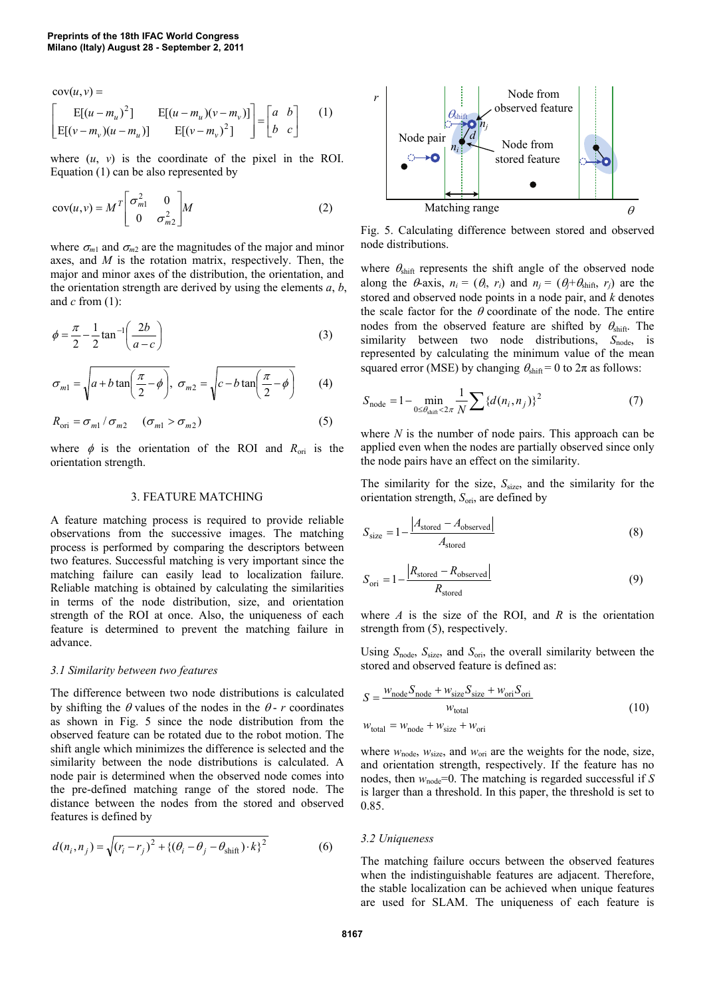$\begin{bmatrix} a & b \\ b & c \end{bmatrix}$  $=$  $\overline{\phantom{a}}$ J  $\overline{\phantom{a}}$  $\overline{\phantom{a}}$  $\mathsf{I}$  $\mathbf{r}$ L  $\mathbf{r}$  $(-m_v)(u - m_u)$   $E[(v [-m_u)^2]$   $E[(u-m_u)(v-m_u)]$  $cov(u, v) =$ *b c a b*  $(v - m_v)(u - m_u)$   $E[(v - m_v)]$  $u - m_u^2$   $\bigg]$   $E[(u - m_u)(v - m_u)$  $\nu$   $\nu$   $(u - m_u)$   $\qquad$   $\nu$ <sub>*v</sub>*  $(v - m_v)$ </sub>  $u^{j}$  **j**  $E[(u-m_{u})(v-m_{v}))$  $E[(v - m_v)(u - m_u)]$   $E[(v - m_v)^2]$  $E[(u - m_u)^2]$   $E[(u - m_u)(v - m_v)]$ 2 <sup>2</sup>]  $E[(u-m_u)(v-m_u)] \begin{bmatrix} a & b \end{bmatrix}$  (1)

where  $(u, v)$  is the coordinate of the pixel in the ROI. Equation (1) can be also represented by

$$
cov(u,v) = M^T \begin{bmatrix} \sigma_{m1}^2 & 0\\ 0 & \sigma_{m2}^2 \end{bmatrix} M
$$
 (2)

where  $\sigma_{m1}$  and  $\sigma_{m2}$  are the magnitudes of the major and minor axes, and *M* is the rotation matrix, respectively. Then, the major and minor axes of the distribution, the orientation, and the orientation strength are derived by using the elements *a*, *b*, and *c* from (1):

$$
\phi = \frac{\pi}{2} - \frac{1}{2} \tan^{-1} \left( \frac{2b}{a - c} \right) \tag{3}
$$

$$
\sigma_{m1} = \sqrt{a + b \tan\left(\frac{\pi}{2} - \phi\right)}, \ \sigma_{m2} = \sqrt{c - b \tan\left(\frac{\pi}{2} - \phi\right)}
$$
(4)

 $R_{\text{ori}} = \sigma_{m1} / \sigma_{m2} \quad (\sigma_{m1} > \sigma_{m2})$  (5)

where  $\phi$  is the orientation of the ROI and  $R_{\text{ori}}$  is the orientation strength.

### 3. FEATURE MATCHING

A feature matching process is required to provide reliable observations from the successive images. The matching process is performed by comparing the descriptors between two features. Successful matching is very important since the matching failure can easily lead to localization failure. Reliable matching is obtained by calculating the similarities in terms of the node distribution, size, and orientation strength of the ROI at once. Also, the uniqueness of each feature is determined to prevent the matching failure in advance.

# *3.1 Similarity between two features*

The difference between two node distributions is calculated by shifting the  $\theta$  values of the nodes in the  $\theta$ - *r* coordinates as shown in Fig. 5 since the node distribution from the observed feature can be rotated due to the robot motion. The shift angle which minimizes the difference is selected and the similarity between the node distributions is calculated. A node pair is determined when the observed node comes into the pre-defined matching range of the stored node. The distance between the nodes from the stored and observed features is defined by

$$
d(n_i, n_j) = \sqrt{(r_i - r_j)^2 + \{(\theta_i - \theta_j - \theta_{\text{shift}}) \cdot k\}^2}
$$
 (6)



Fig. 5. Calculating difference between stored and observed node distributions.

where  $\theta_{\text{shift}}$  represents the shift angle of the observed node along the  $\theta$ -axis,  $n_i = (\theta_i, r_i)$  and  $n_j = (\theta_j + \theta_{shift}, r_j)$  are the stored and observed node points in a node pair, and *k* denotes the scale factor for the  $\theta$  coordinate of the node. The entire nodes from the observed feature are shifted by  $\theta_{\text{shift}}$ . The similarity between two node distributions, S<sub>node</sub>, is represented by calculating the minimum value of the mean squared error (MSE) by changing  $\theta_{\text{shift}} = 0$  to  $2\pi$  as follows:

$$
S_{\text{node}} = 1 - \min_{0 \le \theta_{\text{shift}} < 2\pi} \frac{1}{N} \sum \left\{ d(n_i, n_j) \right\}^2 \tag{7}
$$

where *N* is the number of node pairs. This approach can be applied even when the nodes are partially observed since only the node pairs have an effect on the similarity.

The similarity for the size, *S*<sub>size</sub>, and the similarity for the orientation strength, *S*ori, are defined by

$$
S_{\text{size}} = 1 - \frac{|A_{\text{stored}} - A_{\text{observed}}|}{A_{\text{stored}}}
$$
 (8)

$$
S_{\text{ori}} = 1 - \frac{|R_{\text{stored}} - R_{\text{observed}}|}{R_{\text{stored}}}
$$
\n(9)

where *A* is the size of the ROI, and *R* is the orientation strength from (5), respectively.

Using *S*node, *S*size, and *S*ori, the overall similarity between the stored and observed feature is defined as:

$$
S = \frac{w_{\text{node}} S_{\text{node}} + w_{\text{size}} S_{\text{size}} + w_{\text{ori}} S_{\text{ori}}}{w_{\text{total}}}
$$
  
\n
$$
w_{\text{total}} = w_{\text{node}} + w_{\text{size}} + w_{\text{ori}}
$$
\n(10)

where  $w_{\text{node}}$ ,  $w_{\text{size}}$ , and  $w_{\text{ori}}$  are the weights for the node, size, and orientation strength, respectively. If the feature has no nodes, then  $w_{node}$ =0. The matching is regarded successful if *S* is larger than a threshold. In this paper, the threshold is set to 0.85.

## *3.2 Uniqueness*

The matching failure occurs between the observed features when the indistinguishable features are adjacent. Therefore, the stable localization can be achieved when unique features are used for SLAM. The uniqueness of each feature is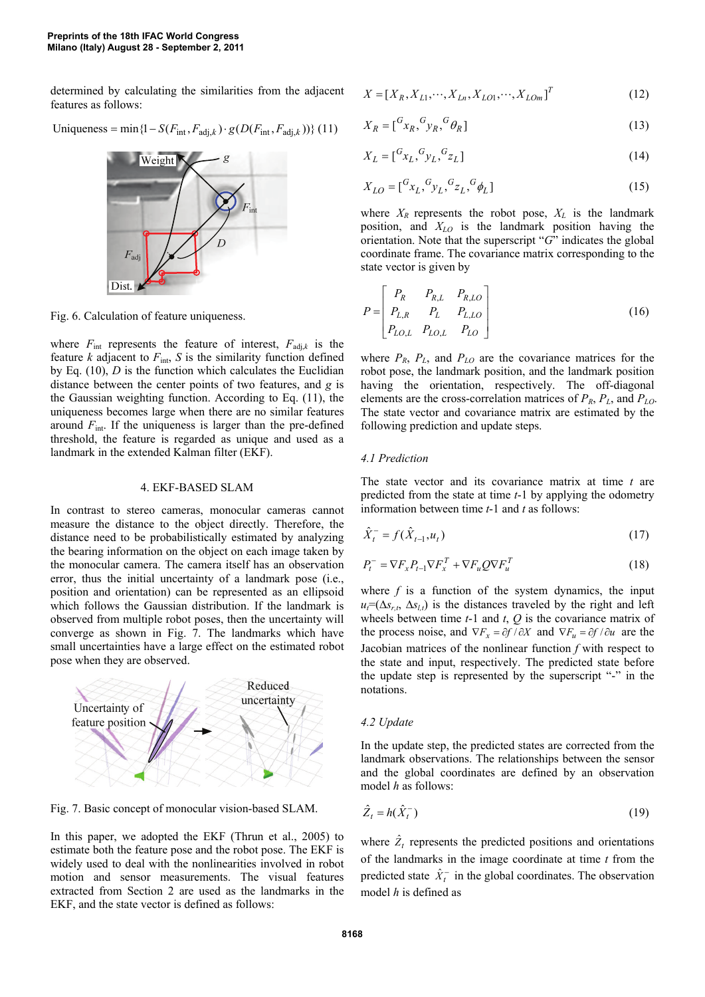determined by calculating the similarities from the adjacent features as follows:

Uniqueness = min 
$$
\{1 - S(F_{\text{int}}, F_{\text{adj},k}) \cdot g(D(F_{\text{int}}, F_{\text{adj},k}))\}
$$
 (11)



Fig. 6. Calculation of feature uniqueness.

where  $F_{int}$  represents the feature of interest,  $F_{adj,k}$  is the feature *k* adjacent to  $F_{\text{int}}$ , *S* is the similarity function defined by Eq. (10), *D* is the function which calculates the Euclidian distance between the center points of two features, and *g* is the Gaussian weighting function. According to Eq. (11), the uniqueness becomes large when there are no similar features around  $F_{\text{int}}$ . If the uniqueness is larger than the pre-defined threshold, the feature is regarded as unique and used as a landmark in the extended Kalman filter (EKF).

#### 4. EKF-BASED SLAM

In contrast to stereo cameras, monocular cameras cannot measure the distance to the object directly. Therefore, the distance need to be probabilistically estimated by analyzing the bearing information on the object on each image taken by the monocular camera. The camera itself has an observation error, thus the initial uncertainty of a landmark pose (i.e., position and orientation) can be represented as an ellipsoid which follows the Gaussian distribution. If the landmark is observed from multiple robot poses, then the uncertainty will converge as shown in Fig. 7. The landmarks which have small uncertainties have a large effect on the estimated robot pose when they are observed.



Fig. 7. Basic concept of monocular vision-based SLAM.

In this paper, we adopted the EKF (Thrun et al., 2005) to estimate both the feature pose and the robot pose. The EKF is widely used to deal with the nonlinearities involved in robot motion and sensor measurements. The visual features extracted from Section 2 are used as the landmarks in the EKF, and the state vector is defined as follows:

$$
X = [X_R, X_{L1}, \cdots, X_{Ln}, X_{LO1}, \cdots, X_{LOm}]^T
$$
 (12)

$$
X_R = \begin{bmatrix} G_{x_R}, G_{y_R}, G_{\theta_R} \end{bmatrix} \tag{13}
$$

$$
X_L = [{}^G x_L, {}^G y_L, {}^G z_L]
$$
 (14)

$$
X_{LO} = [{}^{G}x_L, {}^{G}y_L, {}^{G}z_L, {}^{G}\phi_L]
$$
 (15)

where  $X_R$  represents the robot pose,  $X_L$  is the landmark position, and *XLO* is the landmark position having the orientation. Note that the superscript "*G*" indicates the global coordinate frame. The covariance matrix corresponding to the state vector is given by

$$
P = \begin{bmatrix} P_R & P_{R,L} & P_{R,LO} \\ P_{L,R} & P_L & P_{L,LO} \\ P_{LO,L} & P_{LO,L} & P_{LO} \end{bmatrix}
$$
 (16)

where  $P_R$ ,  $P_L$ , and  $P_{LQ}$  are the covariance matrices for the robot pose, the landmark position, and the landmark position having the orientation, respectively. The off-diagonal elements are the cross-correlation matrices of *PR*, *PL*, and *PLO*. The state vector and covariance matrix are estimated by the following prediction and update steps.

### *4.1 Prediction*

The state vector and its covariance matrix at time *t* are predicted from the state at time *t*-1 by applying the odometry information between time *t*-1 and *t* as follows:

$$
\hat{X}_t^- = f(\hat{X}_{t-1}, u_t) \tag{17}
$$

$$
P_t^- = \nabla F_x P_{t-1} \nabla F_x^T + \nabla F_u Q \nabla F_u^T
$$
\n(18)

where  $f$  is a function of the system dynamics, the input  $u_t=(\Delta s_{rt}, \Delta s_{lt})$  is the distances traveled by the right and left wheels between time  $t-1$  and  $t$ ,  $Q$  is the covariance matrix of the process noise, and  $\nabla F_x = \partial f / \partial X$  and  $\nabla F_u = \partial f / \partial u$  are the Jacobian matrices of the nonlinear function *f* with respect to the state and input, respectively. The predicted state before the update step is represented by the superscript "-" in the notations.

### *4.2 Update*

In the update step, the predicted states are corrected from the landmark observations. The relationships between the sensor and the global coordinates are defined by an observation model *h* as follows:

$$
\hat{Z}_t = h(\hat{X}_t^-) \tag{19}
$$

where  $\hat{Z}_t$  represents the predicted positions and orientations of the landmarks in the image coordinate at time *t* from the predicted state  $\hat{X}_t^-$  in the global coordinates. The observation model *h* is defined as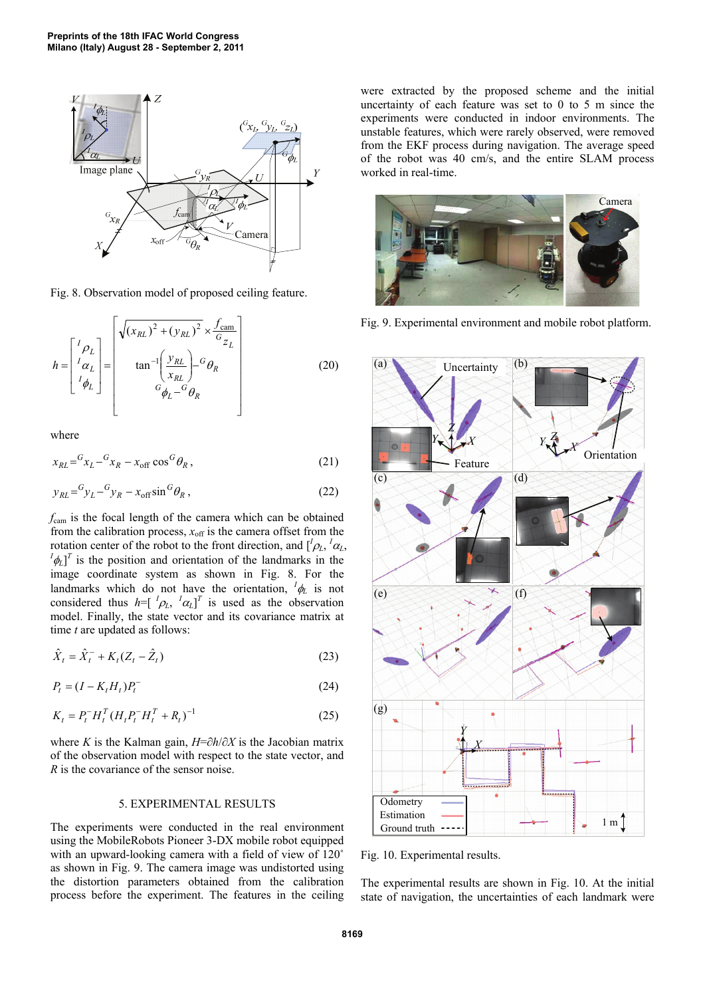

Fig. 8. Observation model of proposed ceiling feature.

$$
h = \begin{bmatrix} {}^{I} \rho_L \\ {}^{I} \alpha_L \\ {}^{I} \phi_L \end{bmatrix} = \begin{bmatrix} \sqrt{(x_{RL})^2 + (y_{RL})^2} \times \frac{f_{\text{cam}}}{G_Z_L} \\ \tan^{-1} \left( \frac{y_{RL}}{x_{RL}} \right) - G_{\theta_R} \\ G_{\phi_L} - G_{\theta_R} \end{bmatrix}
$$
(20)

where

$$
x_{RL} = {}^{G}x_L - {}^{G}x_R - x_{off} \cos {^G} \theta_R, \qquad (21)
$$

$$
y_{RL} = {}^{G}y_L - {}^{G}y_R - x_{off} \sin {}^{G}\theta_R, \qquad (22)
$$

*f*cam is the focal length of the camera which can be obtained from the calibration process,  $x_{\text{off}}$  is the camera offset from the rotation center of the robot to the front direction, and  $\left[\frac{I}{\rho_L}, \frac{I}{\alpha_L}\right]$ ,  $\frac{I_A}{I_B}$  is the negation and cripatition of the landmarks in the  $\left[\phi_L\right]^T$  is the position and orientation of the landmarks in the image coordinate system as shown in Fig. 8. For the landmarks which do not have the orientation,  ${}^{I}\phi_L$  is not considered thus  $h = \begin{bmatrix} I_{\rho_L}, I_{\alpha_L} \end{bmatrix}^T$  is used as the observation model. Finally, the state vector and its covariance matrix at time *t* are updated as follows:

$$
\hat{X}_t = \hat{X}_t^- + K_t (Z_t - \hat{Z}_t)
$$
\n(23)

$$
P_t = (I - K_t H_t) P_t^- \tag{24}
$$

$$
K_t = P_t^- H_t^T (H_t P_t^- H_t^T + R_t)^{-1}
$$
\n(25)

where *K* is the Kalman gain, *H*=∂*h*/∂*X* is the Jacobian matrix of the observation model with respect to the state vector, and *R* is the covariance of the sensor noise.

### 5. EXPERIMENTAL RESULTS

The experiments were conducted in the real environment using the MobileRobots Pioneer 3-DX mobile robot equipped with an upward-looking camera with a field of view of 120<sup>°</sup> as shown in Fig. 9. The camera image was undistorted using the distortion parameters obtained from the calibration process before the experiment. The features in the ceiling were extracted by the proposed scheme and the initial uncertainty of each feature was set to 0 to 5 m since the experiments were conducted in indoor environments. The unstable features, which were rarely observed, were removed from the EKF process during navigation. The average speed of the robot was 40 cm/s, and the entire SLAM process worked in real-time.



Fig. 9. Experimental environment and mobile robot platform.



Fig. 10. Experimental results.

The experimental results are shown in Fig. 10. At the initial state of navigation, the uncertainties of each landmark were